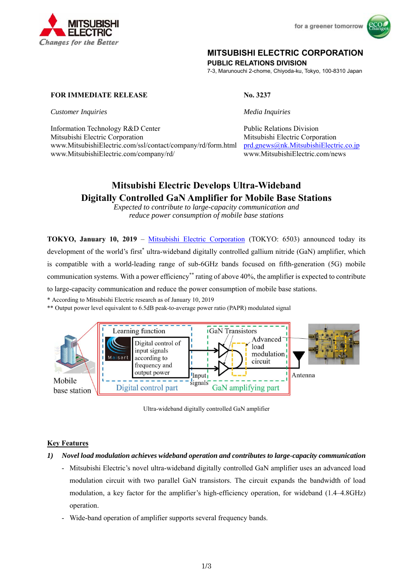



## **MITSUBISHI ELECTRIC CORPORATION**

**PUBLIC RELATIONS DIVISION** 

7-3, Marunouchi 2-chome, Chiyoda-ku, Tokyo, 100-8310 Japan

#### **FOR IMMEDIATE RELEASE No. 3237**

*Customer Inquiries Media Inquiries* 

Information Technology R&D Center Public Relations Division Mitsubishi Electric Corporation Mitsubishi Electric Corporation www.MitsubishiElectric.com/ssl/contact/company/rd/form.html prd.gnews@nk.MitsubishiElectric.co.jp www.MitsubishiElectric.com/company/rd/ www.MitsubishiElectric.com/news

# **Mitsubishi Electric Develops Ultra-Wideband Digitally Controlled GaN Amplifier for Mobile Base Stations**

*Expected to contribute to large-capacity communication and reduce power consumption of mobile base stations* 

**TOKYO, January 10, 2019** – Mitsubishi Electric Corporation (TOKYO: 6503) announced today its development of the world's first<sup>\*</sup> ultra-wideband digitally controlled gallium nitride (GaN) amplifier, which is compatible with a world-leading range of sub-6GHz bands focused on fifth-generation (5G) mobile communication systems. With a power efficiency\*\* rating of above 40%, the amplifier is expected to contribute to large-capacity communication and reduce the power consumption of mobile base stations.

\* According to Mitsubishi Electric research as of January 10, 2019

\*\* Output power level equivalent to 6.5dB peak-to-average power ratio (PAPR) modulated signal



Ultra-wideband digitally controlled GaN amplifier

#### **Key Features**

- *1) Novel load modulation achieves wideband operation and contributes to large-capacity communication* 
	- Mitsubishi Electric's novel ultra-wideband digitally controlled GaN amplifier uses an advanced load modulation circuit with two parallel GaN transistors. The circuit expands the bandwidth of load modulation, a key factor for the amplifier's high-efficiency operation, for wideband (1.4–4.8GHz) operation.
	- Wide-band operation of amplifier supports several frequency bands.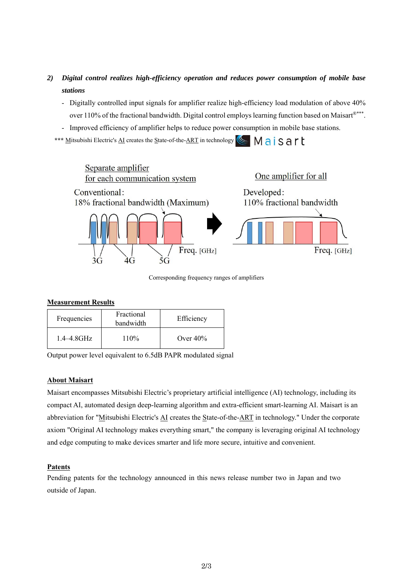- *2) Digital control realizes high-efficiency operation and reduces power consumption of mobile base stations*
	- Digitally controlled input signals for amplifier realize high-efficiency load modulation of above 40% over 110% of the fractional bandwidth. Digital control employs learning function based on Maisart®\*\*\*.
	- Improved efficiency of amplifier helps to reduce power consumption in mobile base stations.

\*\*\* **Mitsubishi Electric's AI creates the State-of-the-ART in technology** <u>I Maisart</u>



Corresponding frequency ranges of amplifiers

#### **Measurement Results**

| Frequencies     | Fractional<br>bandwidth | Efficiency  |
|-----------------|-------------------------|-------------|
| $1.4 - 4.8$ GHz | 110%                    | Over $40\%$ |

Output power level equivalent to 6.5dB PAPR modulated signal

#### **About Maisart**

Maisart encompasses Mitsubishi Electric's proprietary artificial intelligence (AI) technology, including its compact AI, automated design deep-learning algorithm and extra-efficient smart-learning AI. Maisart is an abbreviation for "Mitsubishi Electric's AI creates the State-of-the-ART in technology." Under the corporate axiom "Original AI technology makes everything smart," the company is leveraging original AI technology and edge computing to make devices smarter and life more secure, intuitive and convenient.

#### **Patents**

Pending patents for the technology announced in this news release number two in Japan and two outside of Japan.